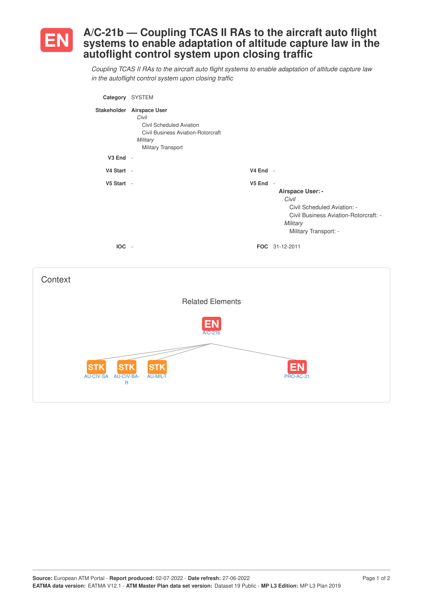

## **A/C-21b — Coupling TCAS II RAs to the aircraft auto flight systems to enable adaptation of altitude capture law in the autoflight control system upon closing traffic**

*Coupling TCAS II RAs to the aircraft auto flight systems to enable adaptation of altitude capture law in the autoflight control system upon closing traffic*

| Category SYSTEM                             |                                                                                                                                               |          |                                                                                                                                                          |
|---------------------------------------------|-----------------------------------------------------------------------------------------------------------------------------------------------|----------|----------------------------------------------------------------------------------------------------------------------------------------------------------|
|                                             | Stakeholder Airspace User<br>Civil<br>Civil Scheduled Aviation<br><b>Civil Business Aviation-Rotorcraft</b><br>Military<br>Military Transport |          |                                                                                                                                                          |
| $V3$ End -                                  |                                                                                                                                               |          |                                                                                                                                                          |
| V4 Start -                                  |                                                                                                                                               | V4 End - |                                                                                                                                                          |
| V5 Start -<br>IOC -                         |                                                                                                                                               | V5 End - | Airspace User: -<br>Civil<br>Civil Scheduled Aviation: -<br>Civil Business Aviation-Rotorcraft: -<br>Military<br>Military Transport: -<br>FOC 31-12-2011 |
| Context                                     |                                                                                                                                               |          |                                                                                                                                                          |
|                                             | <b>Related Elements</b>                                                                                                                       |          |                                                                                                                                                          |
|                                             | $A/C-21b$                                                                                                                                     |          |                                                                                                                                                          |
| <b>STK</b><br>ST<br>AU-CIV-SA<br>AU-CIV-BA- | AU-MIL-T                                                                                                                                      |          | PRO-AC-21                                                                                                                                                |

R